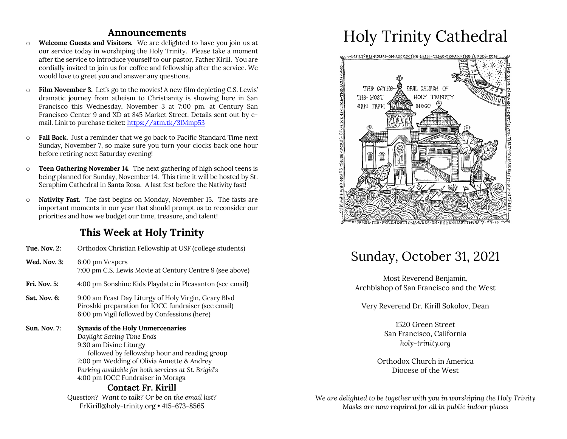## **Announcements**

- o **Welcome Guests and Visitors.** We are delighted to have you join us at our service today in worshiping the Holy Trinity. Please take a moment after the service to introduce yourself to our pastor, Father Kirill. You are cordially invited to join us for coffee and fellowship after the service. We would love to greet you and answer any questions.
- o **Film November 3.** Let's go to the movies! A new film depicting C.S. Lewis' dramatic journey from atheism to Christianity is showing here in San Francisco this Wednesday, November 3 at 7:00 pm. at Century San Francisco Center 9 and XD at 845 Market Street. Details sent out by email. Link to purchase ticket: https://atm.tk/3lMmp53
- o **Fall Back.** Just a reminder that we go back to Pacific Standard Time next Sunday, November 7, so make sure you turn your clocks back one hour before retiring next Saturday evening!
- o **Teen Gathering November 14**. The next gathering of high school teens is being planned for Sunday, November 14. This time it will be hosted by St. Seraphim Cathedral in Santa Rosa. A last fest before the Nativity fast!
- o **Nativity Fast.** The fast begins on Monday, November 15. The fasts are important moments in our year that should prompt us to reconsider our priorities and how we budget our time, treasure, and talent!

# **This Week at Holy Trinity**

| <b>Tue. Nov. 2:</b> | Orthodox Christian Fellowship at USF (college students)                                                                                                                                                                                                                                                          |
|---------------------|------------------------------------------------------------------------------------------------------------------------------------------------------------------------------------------------------------------------------------------------------------------------------------------------------------------|
| <b>Wed. Nov. 3:</b> | 6:00 pm Vespers<br>7:00 pm C.S. Lewis Movie at Century Centre 9 (see above)                                                                                                                                                                                                                                      |
| <b>Fri. Nov. 5:</b> | 4:00 pm Sonshine Kids Playdate in Pleasanton (see email)                                                                                                                                                                                                                                                         |
| <b>Sat. Nov. 6:</b> | 9:00 am Feast Day Liturgy of Holy Virgin, Geary Blvd<br>Piroshki preparation for IOCC fundraiser (see email)<br>6:00 pm Vigil followed by Confessions (here)                                                                                                                                                     |
| <b>Sun. Nov. 7:</b> | Synaxis of the Holy Unmercenaries<br>Daylight Saving Time Ends<br>9:30 am Divine Liturgy<br>followed by fellowship hour and reading group<br>2:00 pm Wedding of Olivia Annette & Andrey<br>Parking available for both services at St. Brigid's<br>4:00 pm IOCC Fundraiser in Moraga<br><b>Contact Fr. Kirill</b> |
|                     | Question? Want to talk? Or be on the email list?                                                                                                                                                                                                                                                                 |
|                     |                                                                                                                                                                                                                                                                                                                  |

FrKirill@holy-trinity.org • 415-673-8565

# Holy Trinity Cathedral



# Sunday, October 31, 2021

Most Reverend Benjamin, Archbishop of San Francisco and the West

Very Reverend Dr. Kirill Sokolov, Dean

1520 Green Street San Francisco, California *holy-trinity.org*

Orthodox Church in America Diocese of the West

*We are delighted to be together with you in worshiping the Holy Trinity Masks are now required for all in public indoor places*